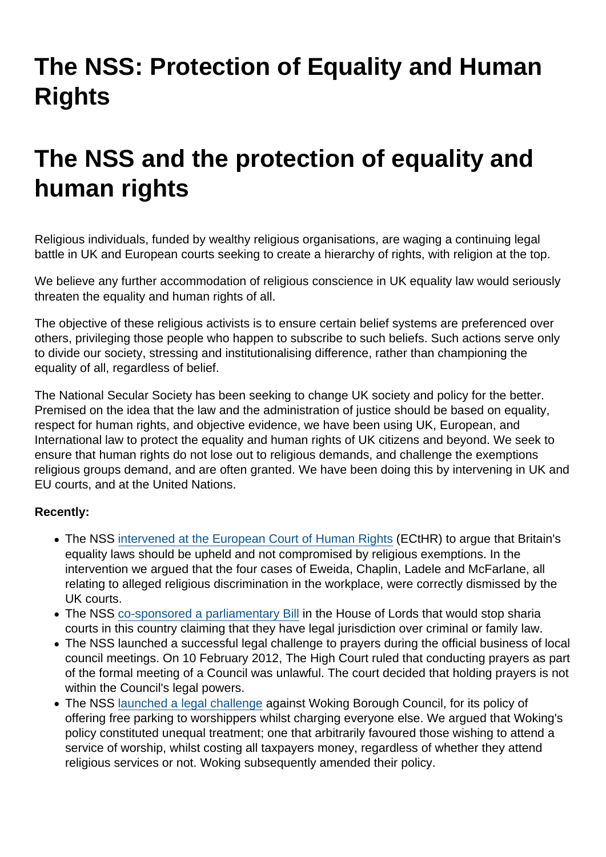## The NSS: Protection of Equality and Human **Rights**

## The NSS and the protection of equality and human rights

Religious individuals, funded by wealthy religious organisations, are waging a continuing legal battle in UK and European courts seeking to create a hierarchy of rights, with religion at the top.

We believe any further accommodation of religious conscience in UK equality law would seriously threaten the equality and human rights of all.

The objective of these religious activists is to ensure certain belief systems are preferenced over others, privileging those people who happen to subscribe to such beliefs. Such actions serve only to divide our society, stressing and institutionalising difference, rather than championing the equality of all, regardless of belief.

The National Secular Society has been seeking to change UK society and policy for the better. Premised on the idea that the law and the administration of justice should be based on equality, respect for human rights, and objective evidence, we have been using UK, European, and International law to protect the equality and human rights of UK citizens and beyond. We seek to ensure that human rights do not lose out to religious demands, and challenge the exemptions religious groups demand, and are often granted. We have been doing this by intervening in UK and EU courts, and at the United Nations.

Recently:

- The NSS [intervened at the European Court of Human Rights](https://www.secularism.org.uk/european-court-of-human-rights-i.html) (ECtHR) to argue that Britain's equality laws should be upheld and not compromised by religious exemptions. In the intervention we argued that the four cases of Eweida, Chaplin, Ladele and McFarlane, all relating to alleged religious discrimination in the workplace, were correctly dismissed by the UK courts.
- The NSS [co-sponsored a parliamentary Bill](https://www.secularism.org.uk/arbitration-and-mediation-servic.html) in the House of Lords that would stop sharia courts in this country claiming that they have legal jurisdiction over criminal or family law.
- The NSS launched a successful legal challenge to prayers during the official business of local council meetings. On 10 February 2012, The High Court ruled that conducting prayers as part of the formal meeting of a Council was unlawful. The court decided that holding prayers is not within the Council's legal powers.
- The NSS [launched a legal challenge](https://www.secularism.org.uk/pray-and-display.html) against Woking Borough Council, for its policy of offering free parking to worshippers whilst charging everyone else. We argued that Woking's policy constituted unequal treatment; one that arbitrarily favoured those wishing to attend a service of worship, whilst costing all taxpayers money, regardless of whether they attend religious services or not. Woking subsequently amended their policy.